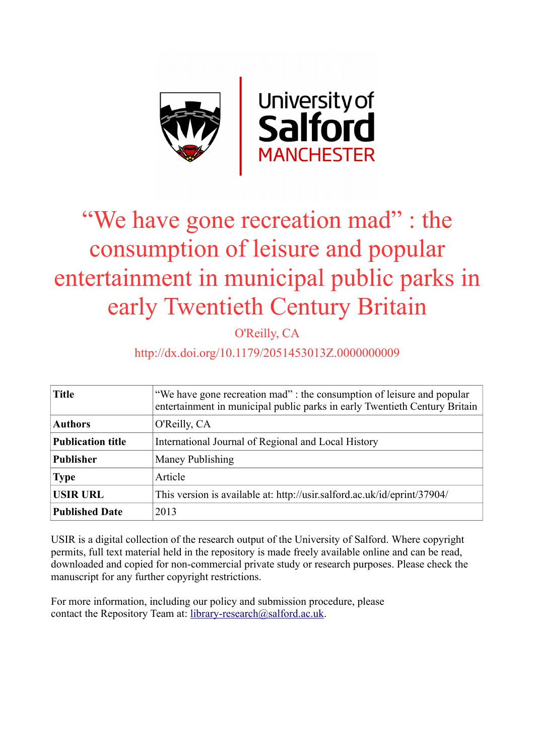

# "We have gone recreation mad" : the consumption of leisure and popular entertainment in municipal public parks in early Twentieth Century Britain

O'Reilly, CA

### http://dx.doi.org/10.1179/2051453013Z.0000000009

| <b>Title</b>             | "We have gone recreation mad": the consumption of leisure and popular<br>entertainment in municipal public parks in early Twentieth Century Britain |
|--------------------------|-----------------------------------------------------------------------------------------------------------------------------------------------------|
| <b>Authors</b>           | O'Reilly, CA                                                                                                                                        |
| <b>Publication title</b> | International Journal of Regional and Local History                                                                                                 |
| <b>Publisher</b>         | Maney Publishing                                                                                                                                    |
| <b>Type</b>              | Article                                                                                                                                             |
| <b>USIR URL</b>          | This version is available at: http://usir.salford.ac.uk/id/eprint/37904/                                                                            |
| <b>Published Date</b>    | 2013                                                                                                                                                |

USIR is a digital collection of the research output of the University of Salford. Where copyright permits, full text material held in the repository is made freely available online and can be read, downloaded and copied for non-commercial private study or research purposes. Please check the manuscript for any further copyright restrictions.

For more information, including our policy and submission procedure, please contact the Repository Team at: [library-research@salford.ac.uk.](mailto:library-research@salford.ac.uk)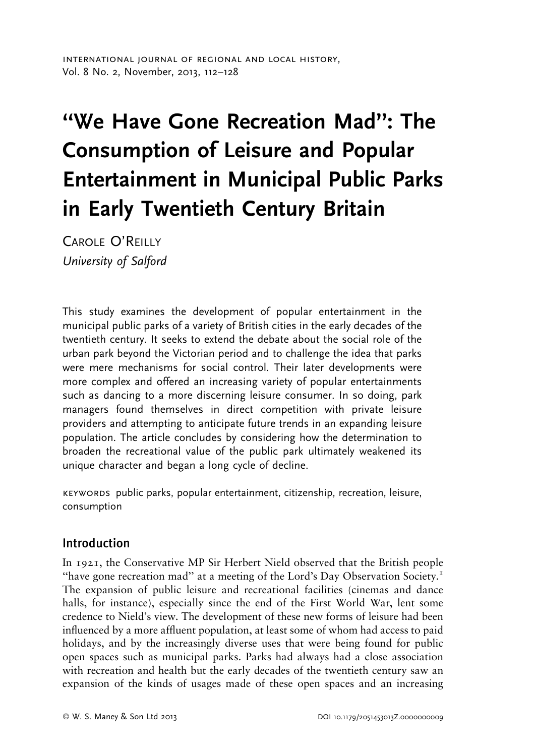## ''We Have Gone Recreation Mad'': The Consumption of Leisure and Popular Entertainment in Municipal Public Parks in Early Twentieth Century Britain

CAROLE O'REILLY University of Salford

This study examines the development of popular entertainment in the municipal public parks of a variety of British cities in the early decades of the twentieth century. It seeks to extend the debate about the social role of the urban park beyond the Victorian period and to challenge the idea that parks were mere mechanisms for social control. Their later developments were more complex and offered an increasing variety of popular entertainments such as dancing to a more discerning leisure consumer. In so doing, park managers found themselves in direct competition with private leisure providers and attempting to anticipate future trends in an expanding leisure population. The article concludes by considering how the determination to broaden the recreational value of the public park ultimately weakened its unique character and began a long cycle of decline.

keywords public parks, popular entertainment, citizenship, recreation, leisure, consumption

#### Introduction

In 1921, the Conservative MP Sir Herbert Nield observed that the British people "have gone recreation mad" at a meeting of the Lord's Day Observation Society.<sup>1</sup> The expansion of public leisure and recreational facilities (cinemas and dance halls, for instance), especially since the end of the First World War, lent some credence to Nield's view. The development of these new forms of leisure had been influenced by a more affluent population, at least some of whom had access to paid holidays, and by the increasingly diverse uses that were being found for public open spaces such as municipal parks. Parks had always had a close association with recreation and health but the early decades of the twentieth century saw an expansion of the kinds of usages made of these open spaces and an increasing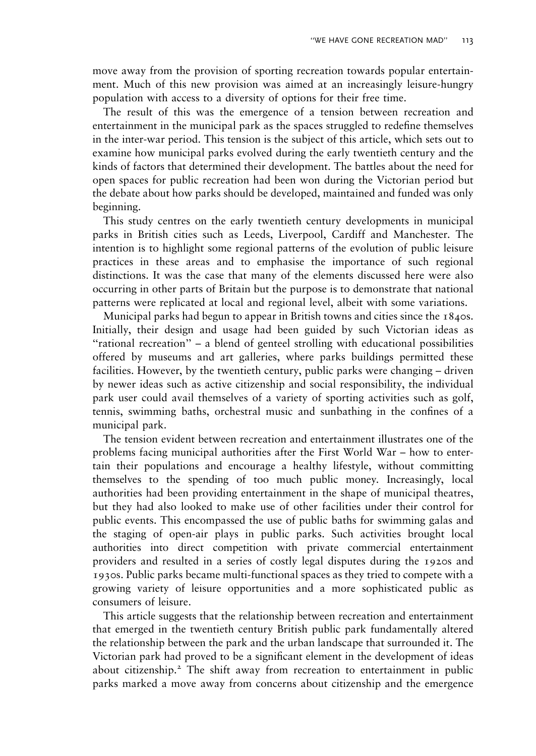move away from the provision of sporting recreation towards popular entertainment. Much of this new provision was aimed at an increasingly leisure-hungry population with access to a diversity of options for their free time.

The result of this was the emergence of a tension between recreation and entertainment in the municipal park as the spaces struggled to redefine themselves in the inter-war period. This tension is the subject of this article, which sets out to examine how municipal parks evolved during the early twentieth century and the kinds of factors that determined their development. The battles about the need for open spaces for public recreation had been won during the Victorian period but the debate about how parks should be developed, maintained and funded was only beginning.

This study centres on the early twentieth century developments in municipal parks in British cities such as Leeds, Liverpool, Cardiff and Manchester. The intention is to highlight some regional patterns of the evolution of public leisure practices in these areas and to emphasise the importance of such regional distinctions. It was the case that many of the elements discussed here were also occurring in other parts of Britain but the purpose is to demonstrate that national patterns were replicated at local and regional level, albeit with some variations.

Municipal parks had begun to appear in British towns and cities since the 1840s. Initially, their design and usage had been guided by such Victorian ideas as ''rational recreation'' – a blend of genteel strolling with educational possibilities offered by museums and art galleries, where parks buildings permitted these facilities. However, by the twentieth century, public parks were changing – driven by newer ideas such as active citizenship and social responsibility, the individual park user could avail themselves of a variety of sporting activities such as golf, tennis, swimming baths, orchestral music and sunbathing in the confines of a municipal park.

The tension evident between recreation and entertainment illustrates one of the problems facing municipal authorities after the First World War – how to entertain their populations and encourage a healthy lifestyle, without committing themselves to the spending of too much public money. Increasingly, local authorities had been providing entertainment in the shape of municipal theatres, but they had also looked to make use of other facilities under their control for public events. This encompassed the use of public baths for swimming galas and the staging of open-air plays in public parks. Such activities brought local authorities into direct competition with private commercial entertainment providers and resulted in a series of costly legal disputes during the 1920s and 1930s. Public parks became multi-functional spaces as they tried to compete with a growing variety of leisure opportunities and a more sophisticated public as consumers of leisure.

This article suggests that the relationship between recreation and entertainment that emerged in the twentieth century British public park fundamentally altered the relationship between the park and the urban landscape that surrounded it. The Victorian park had proved to be a significant element in the development of ideas about citizenship.<sup>2</sup> The shift away from recreation to entertainment in public parks marked a move away from concerns about citizenship and the emergence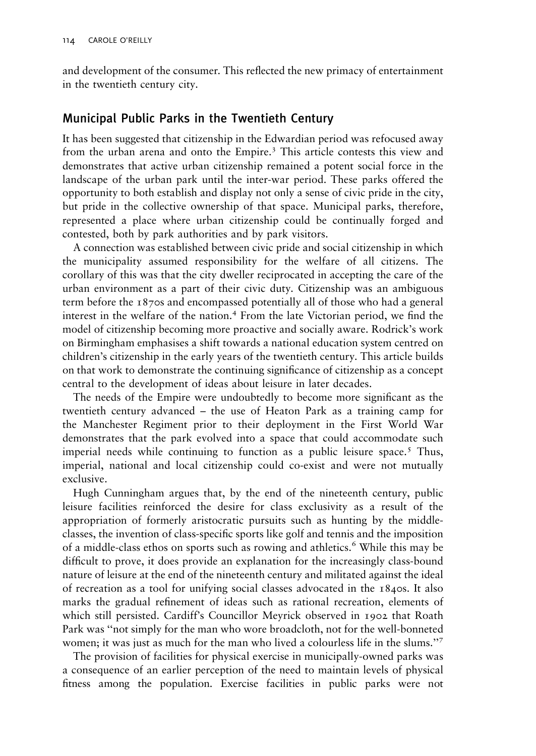and development of the consumer. This reflected the new primacy of entertainment in the twentieth century city.

#### Municipal Public Parks in the Twentieth Century

It has been suggested that citizenship in the Edwardian period was refocused away from the urban arena and onto the Empire.<sup>3</sup> This article contests this view and demonstrates that active urban citizenship remained a potent social force in the landscape of the urban park until the inter-war period. These parks offered the opportunity to both establish and display not only a sense of civic pride in the city, but pride in the collective ownership of that space. Municipal parks, therefore, represented a place where urban citizenship could be continually forged and contested, both by park authorities and by park visitors.

A connection was established between civic pride and social citizenship in which the municipality assumed responsibility for the welfare of all citizens. The corollary of this was that the city dweller reciprocated in accepting the care of the urban environment as a part of their civic duty. Citizenship was an ambiguous term before the 1870s and encompassed potentially all of those who had a general interest in the welfare of the nation.<sup>4</sup> From the late Victorian period, we find the model of citizenship becoming more proactive and socially aware. Rodrick's work on Birmingham emphasises a shift towards a national education system centred on children's citizenship in the early years of the twentieth century. This article builds on that work to demonstrate the continuing significance of citizenship as a concept central to the development of ideas about leisure in later decades.

The needs of the Empire were undoubtedly to become more significant as the twentieth century advanced – the use of Heaton Park as a training camp for the Manchester Regiment prior to their deployment in the First World War demonstrates that the park evolved into a space that could accommodate such imperial needs while continuing to function as a public leisure space.<sup>5</sup> Thus, imperial, national and local citizenship could co-exist and were not mutually exclusive.

Hugh Cunningham argues that, by the end of the nineteenth century, public leisure facilities reinforced the desire for class exclusivity as a result of the appropriation of formerly aristocratic pursuits such as hunting by the middleclasses, the invention of class-specific sports like golf and tennis and the imposition of a middle-class ethos on sports such as rowing and athletics.<sup>6</sup> While this may be difficult to prove, it does provide an explanation for the increasingly class-bound nature of leisure at the end of the nineteenth century and militated against the ideal of recreation as a tool for unifying social classes advocated in the 1840s. It also marks the gradual refinement of ideas such as rational recreation, elements of which still persisted. Cardiff's Councillor Meyrick observed in 1902 that Roath Park was ''not simply for the man who wore broadcloth, not for the well-bonneted women; it was just as much for the man who lived a colourless life in the slums."<sup>7</sup>

The provision of facilities for physical exercise in municipally-owned parks was a consequence of an earlier perception of the need to maintain levels of physical fitness among the population. Exercise facilities in public parks were not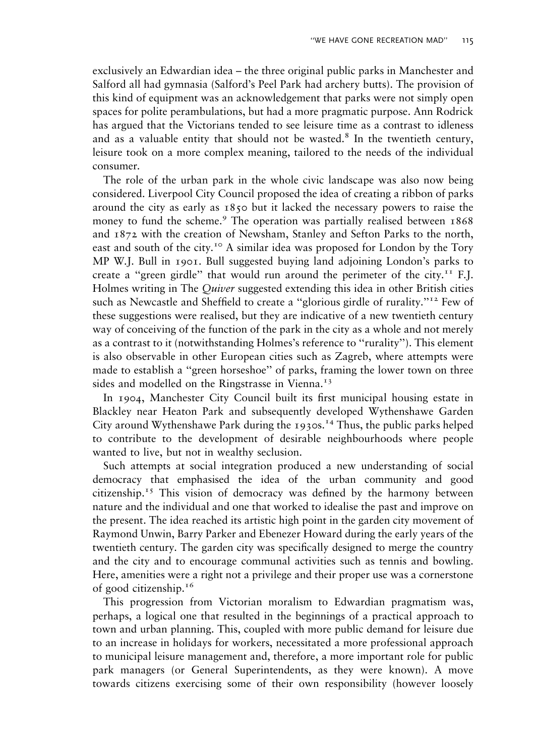exclusively an Edwardian idea – the three original public parks in Manchester and Salford all had gymnasia (Salford's Peel Park had archery butts). The provision of this kind of equipment was an acknowledgement that parks were not simply open spaces for polite perambulations, but had a more pragmatic purpose. Ann Rodrick has argued that the Victorians tended to see leisure time as a contrast to idleness and as a valuable entity that should not be wasted. $8$  In the twentieth century, leisure took on a more complex meaning, tailored to the needs of the individual consumer.

The role of the urban park in the whole civic landscape was also now being considered. Liverpool City Council proposed the idea of creating a ribbon of parks around the city as early as 1850 but it lacked the necessary powers to raise the money to fund the scheme.<sup>9</sup> The operation was partially realised between 1868 and 1872 with the creation of Newsham, Stanley and Sefton Parks to the north, east and south of the city.<sup>10</sup> A similar idea was proposed for London by the Tory MP W.J. Bull in 1901. Bull suggested buying land adjoining London's parks to create a "green girdle" that would run around the perimeter of the city.<sup>11</sup> F.J. Holmes writing in The Quiver suggested extending this idea in other British cities such as Newcastle and Sheffield to create a "glorious girdle of rurality."<sup>12</sup> Few of these suggestions were realised, but they are indicative of a new twentieth century way of conceiving of the function of the park in the city as a whole and not merely as a contrast to it (notwithstanding Holmes's reference to ''rurality''). This element is also observable in other European cities such as Zagreb, where attempts were made to establish a ''green horseshoe'' of parks, framing the lower town on three sides and modelled on the Ringstrasse in Vienna.<sup>13</sup>

In 1904, Manchester City Council built its first municipal housing estate in Blackley near Heaton Park and subsequently developed Wythenshawe Garden City around Wythenshawe Park during the 1930s.<sup>14</sup> Thus, the public parks helped to contribute to the development of desirable neighbourhoods where people wanted to live, but not in wealthy seclusion.

Such attempts at social integration produced a new understanding of social democracy that emphasised the idea of the urban community and good citizenship.15 This vision of democracy was defined by the harmony between nature and the individual and one that worked to idealise the past and improve on the present. The idea reached its artistic high point in the garden city movement of Raymond Unwin, Barry Parker and Ebenezer Howard during the early years of the twentieth century. The garden city was specifically designed to merge the country and the city and to encourage communal activities such as tennis and bowling. Here, amenities were a right not a privilege and their proper use was a cornerstone of good citizenship.<sup>16</sup>

This progression from Victorian moralism to Edwardian pragmatism was, perhaps, a logical one that resulted in the beginnings of a practical approach to town and urban planning. This, coupled with more public demand for leisure due to an increase in holidays for workers, necessitated a more professional approach to municipal leisure management and, therefore, a more important role for public park managers (or General Superintendents, as they were known). A move towards citizens exercising some of their own responsibility (however loosely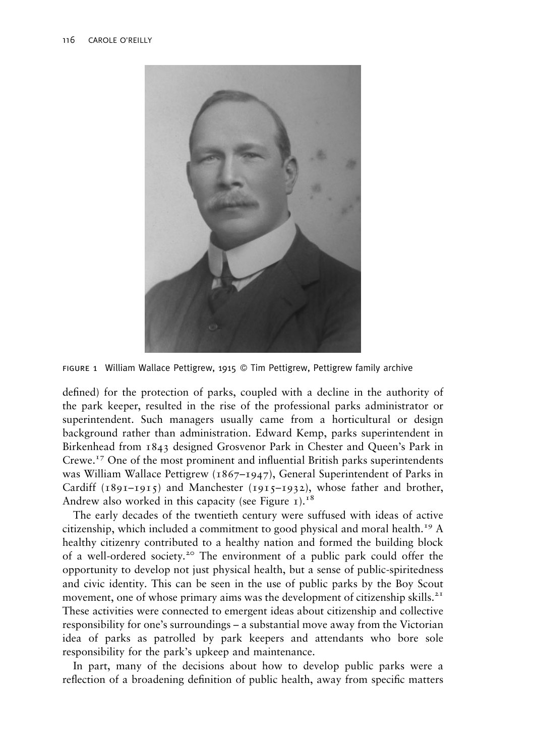

FIGURE 1 William Wallace Pettigrew, 1915 @ Tim Pettigrew, Pettigrew family archive

defined) for the protection of parks, coupled with a decline in the authority of the park keeper, resulted in the rise of the professional parks administrator or superintendent. Such managers usually came from a horticultural or design background rather than administration. Edward Kemp, parks superintendent in Birkenhead from 1843 designed Grosvenor Park in Chester and Queen's Park in Crewe.<sup>17</sup> One of the most prominent and influential British parks superintendents was William Wallace Pettigrew (1867–1947), General Superintendent of Parks in Cardiff (1891–1915) and Manchester (1915–1932), whose father and brother, Andrew also worked in this capacity (see Figure  $I$ ).<sup>18</sup>

The early decades of the twentieth century were suffused with ideas of active citizenship, which included a commitment to good physical and moral health.<sup>19</sup> A healthy citizenry contributed to a healthy nation and formed the building block of a well-ordered society.<sup>20</sup> The environment of a public park could offer the opportunity to develop not just physical health, but a sense of public-spiritedness and civic identity. This can be seen in the use of public parks by the Boy Scout movement, one of whose primary aims was the development of citizenship skills.<sup>21</sup> These activities were connected to emergent ideas about citizenship and collective responsibility for one's surroundings – a substantial move away from the Victorian idea of parks as patrolled by park keepers and attendants who bore sole responsibility for the park's upkeep and maintenance.

In part, many of the decisions about how to develop public parks were a reflection of a broadening definition of public health, away from specific matters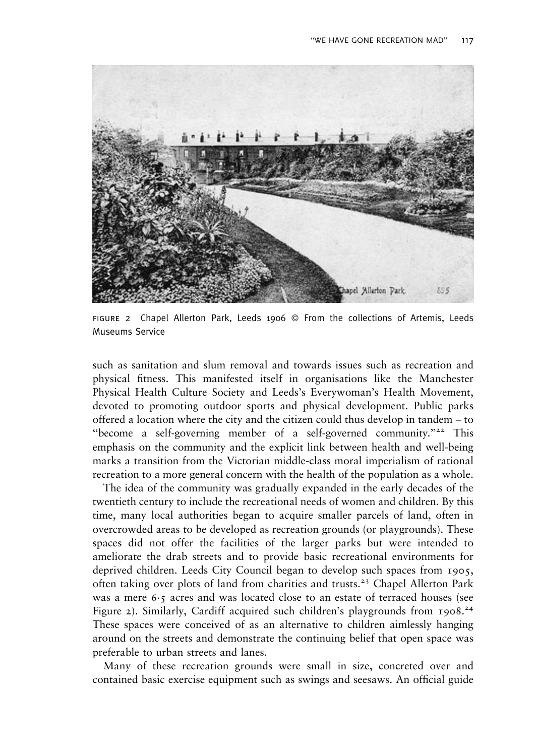

FIGURE 2 Chapel Allerton Park, Leeds 1906 @ From the collections of Artemis, Leeds Museums Service

such as sanitation and slum removal and towards issues such as recreation and physical fitness. This manifested itself in organisations like the Manchester Physical Health Culture Society and Leeds's Everywoman's Health Movement, devoted to promoting outdoor sports and physical development. Public parks offered a location where the city and the citizen could thus develop in tandem – to "become a self-governing member of a self-governed community."<sup>22</sup> This emphasis on the community and the explicit link between health and well-being marks a transition from the Victorian middle-class moral imperialism of rational recreation to a more general concern with the health of the population as a whole.

The idea of the community was gradually expanded in the early decades of the twentieth century to include the recreational needs of women and children. By this time, many local authorities began to acquire smaller parcels of land, often in overcrowded areas to be developed as recreation grounds (or playgrounds). These spaces did not offer the facilities of the larger parks but were intended to ameliorate the drab streets and to provide basic recreational environments for deprived children. Leeds City Council began to develop such spaces from 1905, often taking over plots of land from charities and trusts.<sup>23</sup> Chapel Allerton Park was a mere 6.5 acres and was located close to an estate of terraced houses (see Figure 2). Similarly, Cardiff acquired such children's playgrounds from  $1908<sup>24</sup>$ These spaces were conceived of as an alternative to children aimlessly hanging around on the streets and demonstrate the continuing belief that open space was preferable to urban streets and lanes.

Many of these recreation grounds were small in size, concreted over and contained basic exercise equipment such as swings and seesaws. An official guide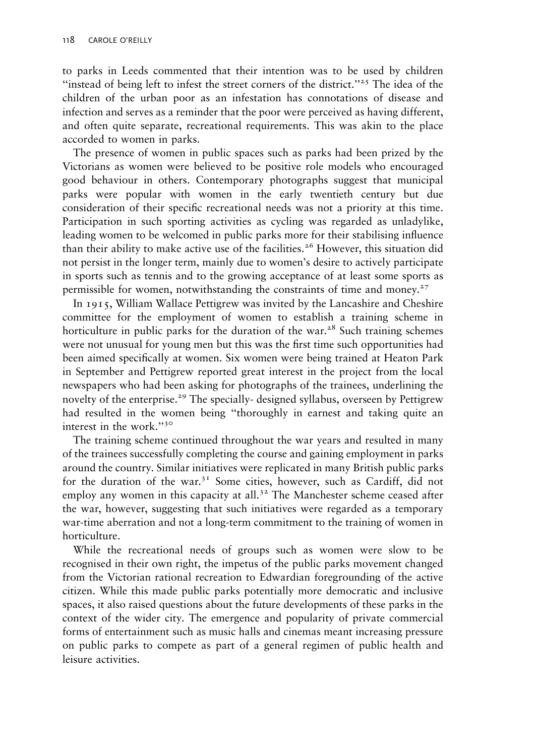to parks in Leeds commented that their intention was to be used by children "instead of being left to infest the street corners of the district."<sup>25</sup> The idea of the children of the urban poor as an infestation has connotations of disease and infection and serves as a reminder that the poor were perceived as having different, and often quite separate, recreational requirements. This was akin to the place accorded to women in parks.

The presence of women in public spaces such as parks had been prized by the Victorians as women were believed to be positive role models who encouraged good behaviour in others. Contemporary photographs suggest that municipal parks were popular with women in the early twentieth century but due consideration of their specific recreational needs was not a priority at this time. Participation in such sporting activities as cycling was regarded as unladylike, leading women to be welcomed in public parks more for their stabilising influence than their ability to make active use of the facilities.<sup>26</sup> However, this situation did not persist in the longer term, mainly due to women's desire to actively participate in sports such as tennis and to the growing acceptance of at least some sports as permissible for women, notwithstanding the constraints of time and money. $27$ 

In 1915, William Wallace Pettigrew was invited by the Lancashire and Cheshire committee for the employment of women to establish a training scheme in horticulture in public parks for the duration of the war.<sup>28</sup> Such training schemes were not unusual for young men but this was the first time such opportunities had been aimed specifically at women. Six women were being trained at Heaton Park in September and Pettigrew reported great interest in the project from the local newspapers who had been asking for photographs of the trainees, underlining the novelty of the enterprise.<sup>29</sup> The specially- designed syllabus, overseen by Pettigrew had resulted in the women being ''thoroughly in earnest and taking quite an interest in the work."30

The training scheme continued throughout the war years and resulted in many of the trainees successfully completing the course and gaining employment in parks around the country. Similar initiatives were replicated in many British public parks for the duration of the war.<sup>31</sup> Some cities, however, such as Cardiff, did not employ any women in this capacity at all.<sup>32</sup> The Manchester scheme ceased after the war, however, suggesting that such initiatives were regarded as a temporary war-time aberration and not a long-term commitment to the training of women in horticulture.

While the recreational needs of groups such as women were slow to be recognised in their own right, the impetus of the public parks movement changed from the Victorian rational recreation to Edwardian foregrounding of the active citizen. While this made public parks potentially more democratic and inclusive spaces, it also raised questions about the future developments of these parks in the context of the wider city. The emergence and popularity of private commercial forms of entertainment such as music halls and cinemas meant increasing pressure on public parks to compete as part of a general regimen of public health and leisure activities.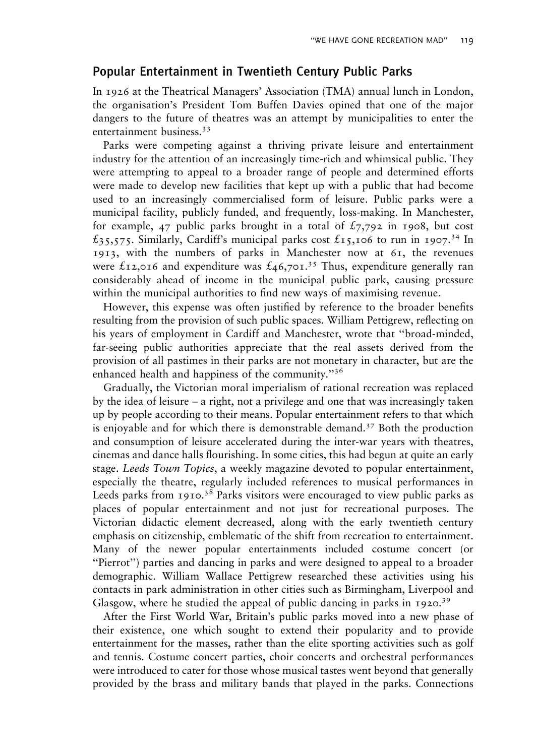#### Popular Entertainment in Twentieth Century Public Parks

In 1926 at the Theatrical Managers' Association (TMA) annual lunch in London, the organisation's President Tom Buffen Davies opined that one of the major dangers to the future of theatres was an attempt by municipalities to enter the entertainment business.<sup>33</sup>

Parks were competing against a thriving private leisure and entertainment industry for the attention of an increasingly time-rich and whimsical public. They were attempting to appeal to a broader range of people and determined efforts were made to develop new facilities that kept up with a public that had become used to an increasingly commercialised form of leisure. Public parks were a municipal facility, publicly funded, and frequently, loss-making. In Manchester, for example, 47 public parks brought in a total of  $\mathcal{L}_7$ , 792 in 1908, but cost  $\pounds$ 35,575. Similarly, Cardiff's municipal parks cost  $\pounds$ 15,106 to run in 1907.<sup>34</sup> In 1913, with the numbers of parks in Manchester now at 61, the revenues were £12,016 and expenditure was £46,701.<sup>35</sup> Thus, expenditure generally ran considerably ahead of income in the municipal public park, causing pressure within the municipal authorities to find new ways of maximising revenue.

However, this expense was often justified by reference to the broader benefits resulting from the provision of such public spaces. William Pettigrew, reflecting on his years of employment in Cardiff and Manchester, wrote that ''broad-minded, far-seeing public authorities appreciate that the real assets derived from the provision of all pastimes in their parks are not monetary in character, but are the enhanced health and happiness of the community."<sup>36</sup>

Gradually, the Victorian moral imperialism of rational recreation was replaced by the idea of leisure – a right, not a privilege and one that was increasingly taken up by people according to their means. Popular entertainment refers to that which is enjoyable and for which there is demonstrable demand.<sup>37</sup> Both the production and consumption of leisure accelerated during the inter-war years with theatres, cinemas and dance halls flourishing. In some cities, this had begun at quite an early stage. Leeds Town Topics, a weekly magazine devoted to popular entertainment, especially the theatre, regularly included references to musical performances in Leeds parks from 1910.<sup>38</sup> Parks visitors were encouraged to view public parks as places of popular entertainment and not just for recreational purposes. The Victorian didactic element decreased, along with the early twentieth century emphasis on citizenship, emblematic of the shift from recreation to entertainment. Many of the newer popular entertainments included costume concert (or ''Pierrot'') parties and dancing in parks and were designed to appeal to a broader demographic. William Wallace Pettigrew researched these activities using his contacts in park administration in other cities such as Birmingham, Liverpool and Glasgow, where he studied the appeal of public dancing in parks in 1920.<sup>39</sup>

After the First World War, Britain's public parks moved into a new phase of their existence, one which sought to extend their popularity and to provide entertainment for the masses, rather than the elite sporting activities such as golf and tennis. Costume concert parties, choir concerts and orchestral performances were introduced to cater for those whose musical tastes went beyond that generally provided by the brass and military bands that played in the parks. Connections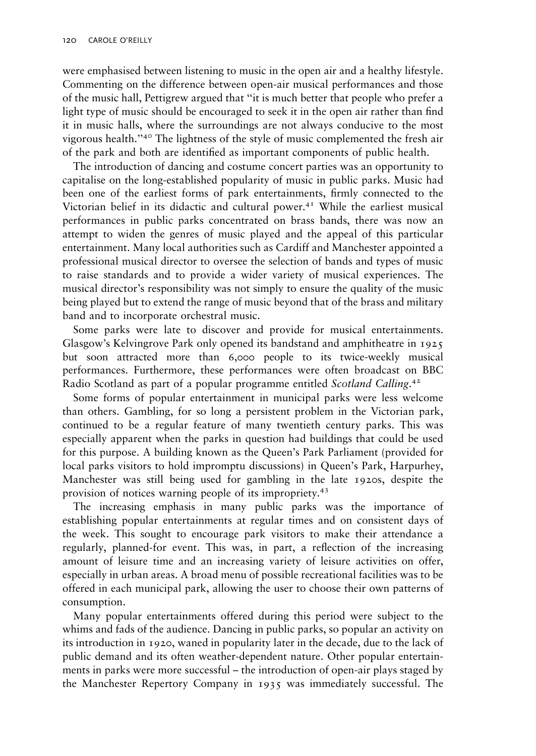were emphasised between listening to music in the open air and a healthy lifestyle. Commenting on the difference between open-air musical performances and those of the music hall, Pettigrew argued that ''it is much better that people who prefer a light type of music should be encouraged to seek it in the open air rather than find it in music halls, where the surroundings are not always conducive to the most vigorous health.''<sup>40</sup> The lightness of the style of music complemented the fresh air of the park and both are identified as important components of public health.

The introduction of dancing and costume concert parties was an opportunity to capitalise on the long-established popularity of music in public parks. Music had been one of the earliest forms of park entertainments, firmly connected to the Victorian belief in its didactic and cultural power.<sup>41</sup> While the earliest musical performances in public parks concentrated on brass bands, there was now an attempt to widen the genres of music played and the appeal of this particular entertainment. Many local authorities such as Cardiff and Manchester appointed a professional musical director to oversee the selection of bands and types of music to raise standards and to provide a wider variety of musical experiences. The musical director's responsibility was not simply to ensure the quality of the music being played but to extend the range of music beyond that of the brass and military band and to incorporate orchestral music.

Some parks were late to discover and provide for musical entertainments. Glasgow's Kelvingrove Park only opened its bandstand and amphitheatre in 1925 but soon attracted more than 6,000 people to its twice-weekly musical performances. Furthermore, these performances were often broadcast on BBC Radio Scotland as part of a popular programme entitled Scotland Calling.<sup>42</sup>

Some forms of popular entertainment in municipal parks were less welcome than others. Gambling, for so long a persistent problem in the Victorian park, continued to be a regular feature of many twentieth century parks. This was especially apparent when the parks in question had buildings that could be used for this purpose. A building known as the Queen's Park Parliament (provided for local parks visitors to hold impromptu discussions) in Queen's Park, Harpurhey, Manchester was still being used for gambling in the late 1920s, despite the provision of notices warning people of its impropriety.<sup>43</sup>

The increasing emphasis in many public parks was the importance of establishing popular entertainments at regular times and on consistent days of the week. This sought to encourage park visitors to make their attendance a regularly, planned-for event. This was, in part, a reflection of the increasing amount of leisure time and an increasing variety of leisure activities on offer, especially in urban areas. A broad menu of possible recreational facilities was to be offered in each municipal park, allowing the user to choose their own patterns of consumption.

Many popular entertainments offered during this period were subject to the whims and fads of the audience. Dancing in public parks, so popular an activity on its introduction in 1920, waned in popularity later in the decade, due to the lack of public demand and its often weather-dependent nature. Other popular entertainments in parks were more successful – the introduction of open-air plays staged by the Manchester Repertory Company in 1935 was immediately successful. The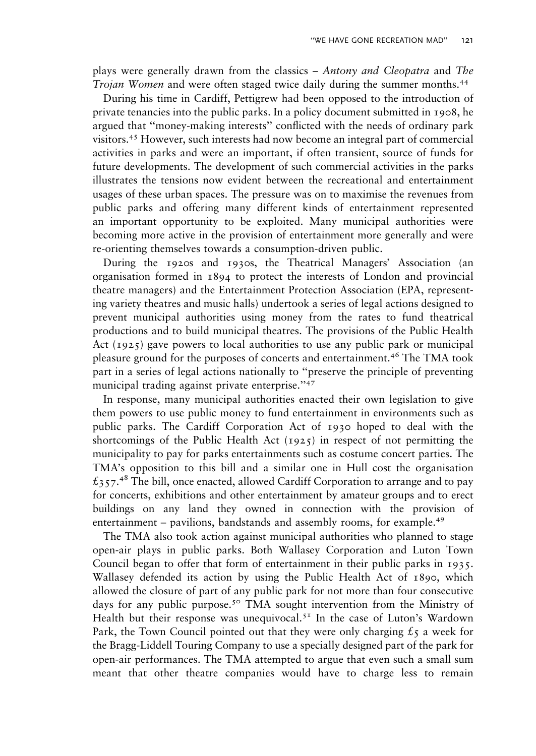plays were generally drawn from the classics – Antony and Cleopatra and The Trojan Women and were often staged twice daily during the summer months.<sup>44</sup>

During his time in Cardiff, Pettigrew had been opposed to the introduction of private tenancies into the public parks. In a policy document submitted in 1908, he argued that ''money-making interests'' conflicted with the needs of ordinary park visitors.45 However, such interests had now become an integral part of commercial activities in parks and were an important, if often transient, source of funds for future developments. The development of such commercial activities in the parks illustrates the tensions now evident between the recreational and entertainment usages of these urban spaces. The pressure was on to maximise the revenues from public parks and offering many different kinds of entertainment represented an important opportunity to be exploited. Many municipal authorities were becoming more active in the provision of entertainment more generally and were re-orienting themselves towards a consumption-driven public.

During the 1920s and 1930s, the Theatrical Managers' Association (an organisation formed in 1894 to protect the interests of London and provincial theatre managers) and the Entertainment Protection Association (EPA, representing variety theatres and music halls) undertook a series of legal actions designed to prevent municipal authorities using money from the rates to fund theatrical productions and to build municipal theatres. The provisions of the Public Health Act  $(1925)$  gave powers to local authorities to use any public park or municipal pleasure ground for the purposes of concerts and entertainment.<sup>46</sup> The TMA took part in a series of legal actions nationally to ''preserve the principle of preventing municipal trading against private enterprise."<sup>47</sup>

In response, many municipal authorities enacted their own legislation to give them powers to use public money to fund entertainment in environments such as public parks. The Cardiff Corporation Act of 1930 hoped to deal with the shortcomings of the Public Health Act  $(1925)$  in respect of not permitting the municipality to pay for parks entertainments such as costume concert parties. The TMA's opposition to this bill and a similar one in Hull cost the organisation  $\text{\textsterling}_{357}$ <sup>48</sup> The bill, once enacted, allowed Cardiff Corporation to arrange and to pay for concerts, exhibitions and other entertainment by amateur groups and to erect buildings on any land they owned in connection with the provision of entertainment – pavilions, bandstands and assembly rooms, for example.<sup>49</sup>

The TMA also took action against municipal authorities who planned to stage open-air plays in public parks. Both Wallasey Corporation and Luton Town Council began to offer that form of entertainment in their public parks in 1935. Wallasey defended its action by using the Public Health Act of 1890, which allowed the closure of part of any public park for not more than four consecutive days for any public purpose.<sup>50</sup> TMA sought intervention from the Ministry of Health but their response was unequivocal.<sup>51</sup> In the case of Luton's Wardown Park, the Town Council pointed out that they were only charging  $\mathcal{L}_5$  a week for the Bragg-Liddell Touring Company to use a specially designed part of the park for open-air performances. The TMA attempted to argue that even such a small sum meant that other theatre companies would have to charge less to remain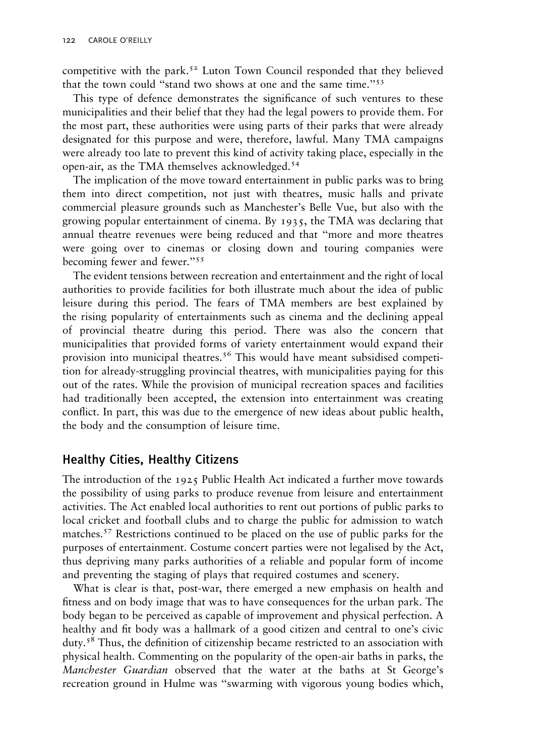competitive with the park.<sup>52</sup> Luton Town Council responded that they believed that the town could ''stand two shows at one and the same time.''<sup>53</sup>

This type of defence demonstrates the significance of such ventures to these municipalities and their belief that they had the legal powers to provide them. For the most part, these authorities were using parts of their parks that were already designated for this purpose and were, therefore, lawful. Many TMA campaigns were already too late to prevent this kind of activity taking place, especially in the open-air, as the TMA themselves acknowledged.<sup>54</sup>

The implication of the move toward entertainment in public parks was to bring them into direct competition, not just with theatres, music halls and private commercial pleasure grounds such as Manchester's Belle Vue, but also with the growing popular entertainment of cinema. By 1935, the TMA was declaring that annual theatre revenues were being reduced and that ''more and more theatres were going over to cinemas or closing down and touring companies were becoming fewer and fewer."<sup>55</sup>

The evident tensions between recreation and entertainment and the right of local authorities to provide facilities for both illustrate much about the idea of public leisure during this period. The fears of TMA members are best explained by the rising popularity of entertainments such as cinema and the declining appeal of provincial theatre during this period. There was also the concern that municipalities that provided forms of variety entertainment would expand their provision into municipal theatres.<sup>56</sup> This would have meant subsidised competition for already-struggling provincial theatres, with municipalities paying for this out of the rates. While the provision of municipal recreation spaces and facilities had traditionally been accepted, the extension into entertainment was creating conflict. In part, this was due to the emergence of new ideas about public health, the body and the consumption of leisure time.

#### Healthy Cities, Healthy Citizens

The introduction of the 1925 Public Health Act indicated a further move towards the possibility of using parks to produce revenue from leisure and entertainment activities. The Act enabled local authorities to rent out portions of public parks to local cricket and football clubs and to charge the public for admission to watch matches.<sup>57</sup> Restrictions continued to be placed on the use of public parks for the purposes of entertainment. Costume concert parties were not legalised by the Act, thus depriving many parks authorities of a reliable and popular form of income and preventing the staging of plays that required costumes and scenery.

What is clear is that, post-war, there emerged a new emphasis on health and fitness and on body image that was to have consequences for the urban park. The body began to be perceived as capable of improvement and physical perfection. A healthy and fit body was a hallmark of a good citizen and central to one's civic duty.58 Thus, the definition of citizenship became restricted to an association with physical health. Commenting on the popularity of the open-air baths in parks, the Manchester Guardian observed that the water at the baths at St George's recreation ground in Hulme was ''swarming with vigorous young bodies which,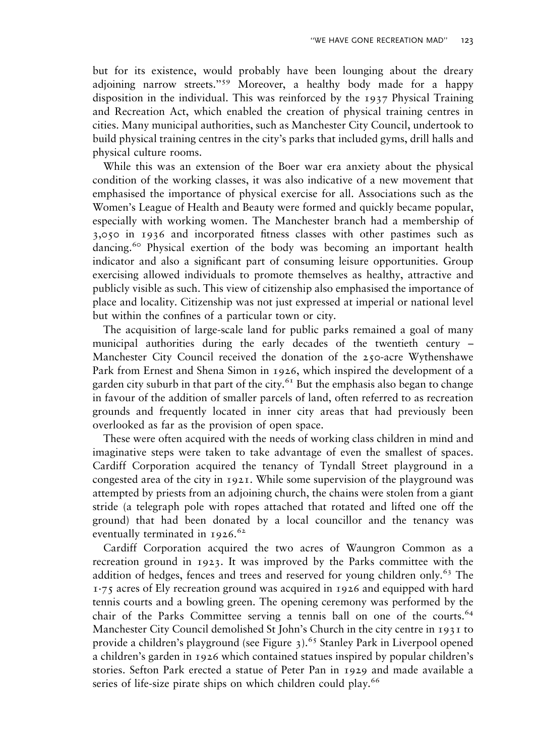but for its existence, would probably have been lounging about the dreary adjoining narrow streets.''59 Moreover, a healthy body made for a happy disposition in the individual. This was reinforced by the 1937 Physical Training and Recreation Act, which enabled the creation of physical training centres in cities. Many municipal authorities, such as Manchester City Council, undertook to build physical training centres in the city's parks that included gyms, drill halls and physical culture rooms.

While this was an extension of the Boer war era anxiety about the physical condition of the working classes, it was also indicative of a new movement that emphasised the importance of physical exercise for all. Associations such as the Women's League of Health and Beauty were formed and quickly became popular, especially with working women. The Manchester branch had a membership of 3,050 in 1936 and incorporated fitness classes with other pastimes such as dancing.<sup>60</sup> Physical exertion of the body was becoming an important health indicator and also a significant part of consuming leisure opportunities. Group exercising allowed individuals to promote themselves as healthy, attractive and publicly visible as such. This view of citizenship also emphasised the importance of place and locality. Citizenship was not just expressed at imperial or national level but within the confines of a particular town or city.

The acquisition of large-scale land for public parks remained a goal of many municipal authorities during the early decades of the twentieth century – Manchester City Council received the donation of the 250-acre Wythenshawe Park from Ernest and Shena Simon in 1926, which inspired the development of a garden city suburb in that part of the city. $61$  But the emphasis also began to change in favour of the addition of smaller parcels of land, often referred to as recreation grounds and frequently located in inner city areas that had previously been overlooked as far as the provision of open space.

These were often acquired with the needs of working class children in mind and imaginative steps were taken to take advantage of even the smallest of spaces. Cardiff Corporation acquired the tenancy of Tyndall Street playground in a congested area of the city in 1921. While some supervision of the playground was attempted by priests from an adjoining church, the chains were stolen from a giant stride (a telegraph pole with ropes attached that rotated and lifted one off the ground) that had been donated by a local councillor and the tenancy was eventually terminated in  $1926$ .<sup>62</sup>

Cardiff Corporation acquired the two acres of Waungron Common as a recreation ground in 1923. It was improved by the Parks committee with the addition of hedges, fences and trees and reserved for young children only.<sup>63</sup> The 1.75 acres of Ely recreation ground was acquired in 1926 and equipped with hard tennis courts and a bowling green. The opening ceremony was performed by the chair of the Parks Committee serving a tennis ball on one of the courts.<sup>64</sup> Manchester City Council demolished St John's Church in the city centre in 1931 to provide a children's playground (see Figure  $3$ ).<sup>65</sup> Stanley Park in Liverpool opened a children's garden in 1926 which contained statues inspired by popular children's stories. Sefton Park erected a statue of Peter Pan in 1929 and made available a series of life-size pirate ships on which children could play.<sup>66</sup>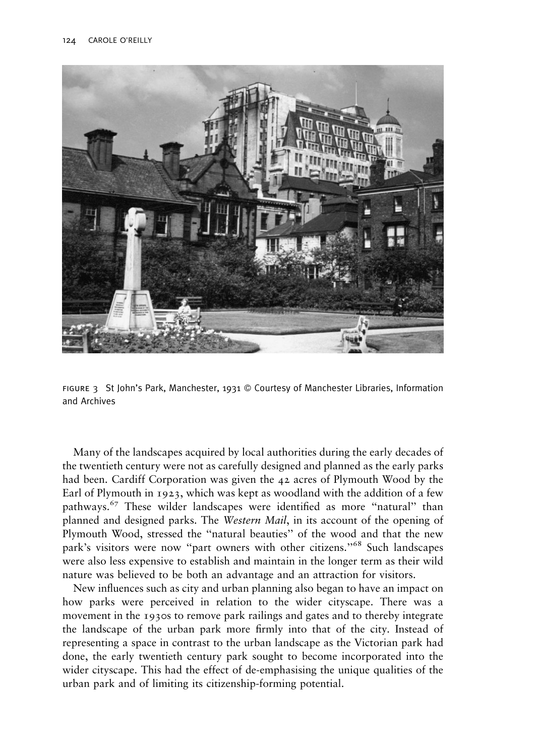

figure 3 St John's Park, Manchester, 1931 ! Courtesy of Manchester Libraries, Information and Archives

Many of the landscapes acquired by local authorities during the early decades of the twentieth century were not as carefully designed and planned as the early parks had been. Cardiff Corporation was given the 42 acres of Plymouth Wood by the Earl of Plymouth in 1923, which was kept as woodland with the addition of a few pathways.<sup>67</sup> These wilder landscapes were identified as more "natural" than planned and designed parks. The Western Mail, in its account of the opening of Plymouth Wood, stressed the ''natural beauties'' of the wood and that the new park's visitors were now "part owners with other citizens."<sup>68</sup> Such landscapes were also less expensive to establish and maintain in the longer term as their wild nature was believed to be both an advantage and an attraction for visitors.

New influences such as city and urban planning also began to have an impact on how parks were perceived in relation to the wider cityscape. There was a movement in the 1930s to remove park railings and gates and to thereby integrate the landscape of the urban park more firmly into that of the city. Instead of representing a space in contrast to the urban landscape as the Victorian park had done, the early twentieth century park sought to become incorporated into the wider cityscape. This had the effect of de-emphasising the unique qualities of the urban park and of limiting its citizenship-forming potential.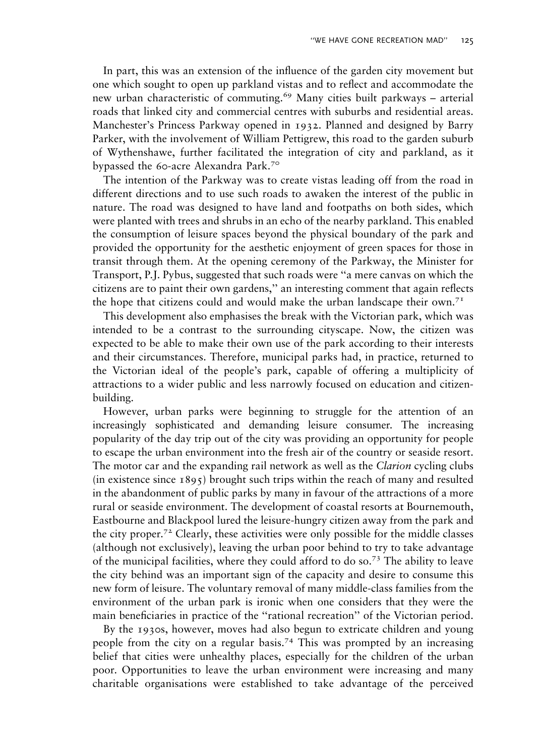In part, this was an extension of the influence of the garden city movement but one which sought to open up parkland vistas and to reflect and accommodate the new urban characteristic of commuting.<sup>69</sup> Many cities built parkways – arterial roads that linked city and commercial centres with suburbs and residential areas. Manchester's Princess Parkway opened in 1932. Planned and designed by Barry Parker, with the involvement of William Pettigrew, this road to the garden suburb of Wythenshawe, further facilitated the integration of city and parkland, as it bypassed the 60-acre Alexandra Park.<sup>70</sup>

The intention of the Parkway was to create vistas leading off from the road in different directions and to use such roads to awaken the interest of the public in nature. The road was designed to have land and footpaths on both sides, which were planted with trees and shrubs in an echo of the nearby parkland. This enabled the consumption of leisure spaces beyond the physical boundary of the park and provided the opportunity for the aesthetic enjoyment of green spaces for those in transit through them. At the opening ceremony of the Parkway, the Minister for Transport, P.J. Pybus, suggested that such roads were ''a mere canvas on which the citizens are to paint their own gardens,'' an interesting comment that again reflects the hope that citizens could and would make the urban landscape their own.<sup>71</sup>

This development also emphasises the break with the Victorian park, which was intended to be a contrast to the surrounding cityscape. Now, the citizen was expected to be able to make their own use of the park according to their interests and their circumstances. Therefore, municipal parks had, in practice, returned to the Victorian ideal of the people's park, capable of offering a multiplicity of attractions to a wider public and less narrowly focused on education and citizenbuilding.

However, urban parks were beginning to struggle for the attention of an increasingly sophisticated and demanding leisure consumer. The increasing popularity of the day trip out of the city was providing an opportunity for people to escape the urban environment into the fresh air of the country or seaside resort. The motor car and the expanding rail network as well as the *Clarion* cycling clubs (in existence since  $1895$ ) brought such trips within the reach of many and resulted in the abandonment of public parks by many in favour of the attractions of a more rural or seaside environment. The development of coastal resorts at Bournemouth, Eastbourne and Blackpool lured the leisure-hungry citizen away from the park and the city proper.<sup>72</sup> Clearly, these activities were only possible for the middle classes (although not exclusively), leaving the urban poor behind to try to take advantage of the municipal facilities, where they could afford to do so.73 The ability to leave the city behind was an important sign of the capacity and desire to consume this new form of leisure. The voluntary removal of many middle-class families from the environment of the urban park is ironic when one considers that they were the main beneficiaries in practice of the ''rational recreation'' of the Victorian period.

By the 1930s, however, moves had also begun to extricate children and young people from the city on a regular basis.<sup>74</sup> This was prompted by an increasing belief that cities were unhealthy places, especially for the children of the urban poor. Opportunities to leave the urban environment were increasing and many charitable organisations were established to take advantage of the perceived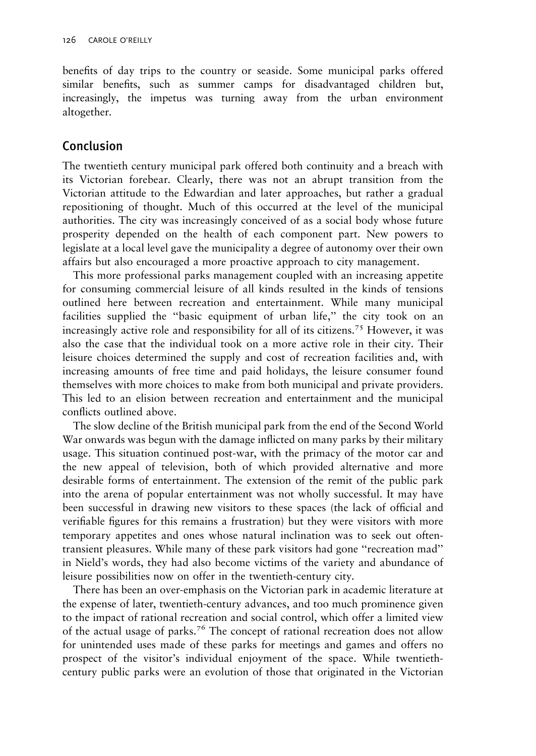benefits of day trips to the country or seaside. Some municipal parks offered similar benefits, such as summer camps for disadvantaged children but, increasingly, the impetus was turning away from the urban environment altogether.

#### Conclusion

The twentieth century municipal park offered both continuity and a breach with its Victorian forebear. Clearly, there was not an abrupt transition from the Victorian attitude to the Edwardian and later approaches, but rather a gradual repositioning of thought. Much of this occurred at the level of the municipal authorities. The city was increasingly conceived of as a social body whose future prosperity depended on the health of each component part. New powers to legislate at a local level gave the municipality a degree of autonomy over their own affairs but also encouraged a more proactive approach to city management.

This more professional parks management coupled with an increasing appetite for consuming commercial leisure of all kinds resulted in the kinds of tensions outlined here between recreation and entertainment. While many municipal facilities supplied the "basic equipment of urban life," the city took on an increasingly active role and responsibility for all of its citizens.<sup>75</sup> However, it was also the case that the individual took on a more active role in their city. Their leisure choices determined the supply and cost of recreation facilities and, with increasing amounts of free time and paid holidays, the leisure consumer found themselves with more choices to make from both municipal and private providers. This led to an elision between recreation and entertainment and the municipal conflicts outlined above.

The slow decline of the British municipal park from the end of the Second World War onwards was begun with the damage inflicted on many parks by their military usage. This situation continued post-war, with the primacy of the motor car and the new appeal of television, both of which provided alternative and more desirable forms of entertainment. The extension of the remit of the public park into the arena of popular entertainment was not wholly successful. It may have been successful in drawing new visitors to these spaces (the lack of official and verifiable figures for this remains a frustration) but they were visitors with more temporary appetites and ones whose natural inclination was to seek out oftentransient pleasures. While many of these park visitors had gone ''recreation mad'' in Nield's words, they had also become victims of the variety and abundance of leisure possibilities now on offer in the twentieth-century city.

There has been an over-emphasis on the Victorian park in academic literature at the expense of later, twentieth-century advances, and too much prominence given to the impact of rational recreation and social control, which offer a limited view of the actual usage of parks.<sup>76</sup> The concept of rational recreation does not allow for unintended uses made of these parks for meetings and games and offers no prospect of the visitor's individual enjoyment of the space. While twentiethcentury public parks were an evolution of those that originated in the Victorian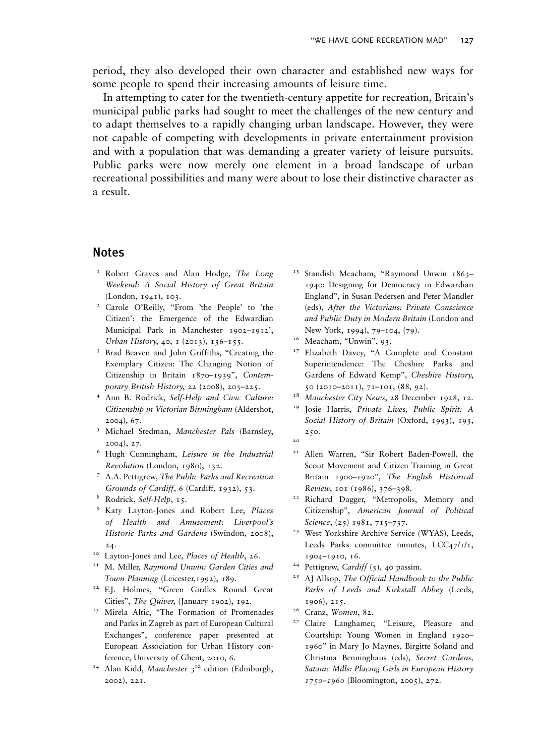period, they also developed their own character and established new ways for some people to spend their increasing amounts of leisure time.

In attempting to cater for the twentieth-century appetite for recreation, Britain's municipal public parks had sought to meet the challenges of the new century and to adapt themselves to a rapidly changing urban landscape. However, they were not capable of competing with developments in private entertainment provision and with a population that was demanding a greater variety of leisure pursuits. Public parks were now merely one element in a broad landscape of urban recreational possibilities and many were about to lose their distinctive character as a result.

#### Notes

- <sup>1</sup> Robert Graves and Alan Hodge, The Long Weekend: A Social History of Great Britain (London, 1941), 103.
- <sup>2</sup> Carole O'Reilly, "From 'the People' to 'the Citizen': the Emergence of the Edwardian Municipal Park in Manchester 1902–1912', Urban History, 40, 1 (2013), 136–155.
- <sup>3</sup> Brad Beaven and John Griffiths, "Creating the Exemplary Citizen: The Changing Notion of Citizenship in Britain 1870–1939'', Contemporary British History, 22 (2008), 203–225.
- <sup>4</sup> Ann B. Rodrick, Self-Help and Civic Culture: Citizenship in Victorian Birmingham (Aldershot, 2004), 67.
- <sup>5</sup> Michael Stedman, Manchester Pals (Barnsley, 2004), 27.
- <sup>6</sup> Hugh Cunningham, Leisure in the Industrial Revolution (London, 1980), 132.
- <sup>7</sup> A.A. Pettigrew, The Public Parks and Recreation Grounds of Cardiff, 6 (Cardiff, 1932), 53.
- <sup>8</sup> Rodrick, Self-Help, 15.
- <sup>9</sup> Katy Layton-Jones and Robert Lee, Places of Health and Amusement: Liverpool's Historic Parks and Gardens (Swindon, 2008), 24.
- <sup>10</sup> Layton-Jones and Lee, Places of Health, 26.
- <sup>11</sup> M. Miller, Raymond Unwin: Garden Cities and Town Planning (Leicester,1992), 189.
- <sup>12</sup> F.J. Holmes, "Green Girdles Round Great Cities'', The Quiver, (January 1902), 192.
- <sup>13</sup> Mirela Altic, "The Formation of Promenades and Parks in Zagreb as part of European Cultural Exchanges'', conference paper presented at European Association for Urban History conference, University of Ghent, 2010, 6.
- <sup>14</sup> Alan Kidd, Manchester 3<sup>rd</sup> edition (Edinburgh, 2002), 221.
- <sup>15</sup> Standish Meacham, "Raymond Unwin 1863-1940: Designing for Democracy in Edwardian England'', in Susan Pedersen and Peter Mandler (eds), After the Victorians: Private Conscience and Public Duty in Modern Britain (London and New York, 1994), 79–104, (79).
- <sup>16</sup> Meacham, "Unwin", 93.
- <sup>17</sup> Elizabeth Davey, "A Complete and Constant Superintendence: The Cheshire Parks and Gardens of Edward Kemp'', Cheshire History, 50 (2010–2011), 71–101, (88, 92).
- Manchester City News, 28 December 1928, 12.
- <sup>19</sup> Josie Harris, Private Lives, Public Spirit: A Social History of Britain (Oxford, 1993), 193, 250.
- $20<sup>2</sup>$
- <sup>21</sup> Allen Warren, "Sir Robert Baden-Powell, the Scout Movement and Citizen Training in Great Britain 1900–1920'', The English Historical Review, 101 (1986), 376–398.
- <sup>22</sup> Richard Dagger, "Metropolis, Memory and Citizenship'', American Journal of Political Science, (25) 1981, 715–737.
- <sup>23</sup> West Yorkshire Archive Service (WYAS), Leeds, Leeds Parks committee minutes,  $LCC<sub>47</sub>/I/1$ , 1904–1910, 16.
- <sup>24</sup> Pettigrew, Cardiff  $(5)$ , 40 passim.
- <sup>25</sup> AJ Allsop, The Official Handbook to the Public Parks of Leeds and Kirkstall Abbey (Leeds, 1906), 215.
- <sup>26</sup> Cranz, Women, 82.
- <sup>27</sup> Claire Langhamer, "Leisure, Pleasure and Courtship: Young Women in England 1920– 1960'' in Mary Jo Maynes, Birgitte Soland and Christina Benninghaus (eds), Secret Gardens, Satanic Mills: Placing Girls in European History 1750–1960 (Bloomington, 2005), 272.